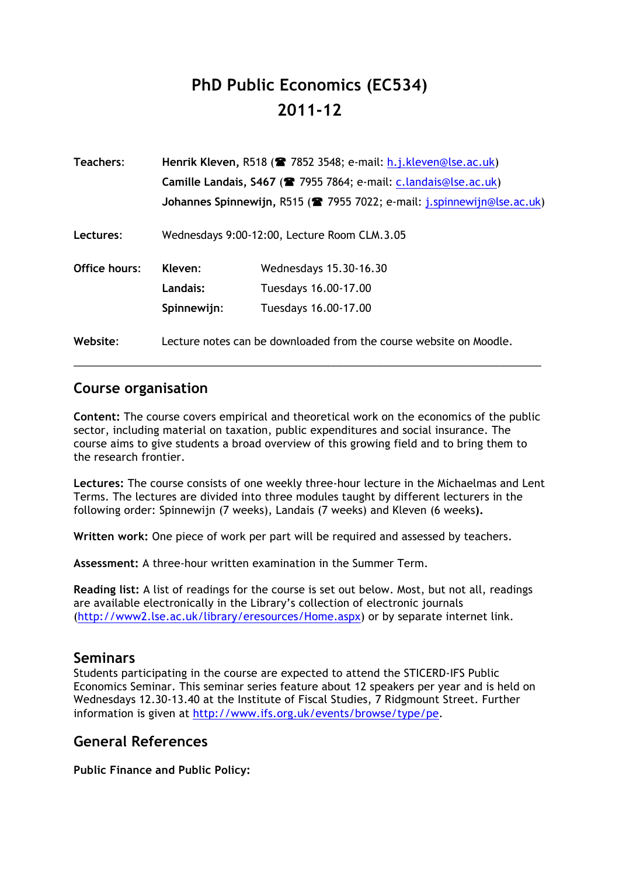# **PhD Public Economics (EC534) 2011-12**

| Teachers:     | Henrik Kleven, R518 (• 7852 3548; e-mail: h.j.kleven@lse.ac.uk)<br>Camille Landais, S467 ( <sup>2</sup> 7955 7864; e-mail: c.landais@lse.ac.uk) |                                                                         |
|---------------|-------------------------------------------------------------------------------------------------------------------------------------------------|-------------------------------------------------------------------------|
|               |                                                                                                                                                 |                                                                         |
|               |                                                                                                                                                 | Johannes Spinnewijn, R515 (2 7955 7022; e-mail: j.spinnewijn@lse.ac.uk) |
| Lectures:     | Wednesdays 9:00-12:00, Lecture Room CLM.3.05                                                                                                    |                                                                         |
| Office hours: | Kleven:                                                                                                                                         | Wednesdays 15.30-16.30                                                  |
|               | Landais:                                                                                                                                        | Tuesdays 16.00-17.00                                                    |
|               | Spinnewijn:                                                                                                                                     | Tuesdays 16.00-17.00                                                    |
| Website:      | Lecture notes can be downloaded from the course website on Moodle.                                                                              |                                                                         |

# **Course organisation**

**Content:** The course covers empirical and theoretical work on the economics of the public sector, including material on taxation, public expenditures and social insurance. The course aims to give students a broad overview of this growing field and to bring them to the research frontier.

\_\_\_\_\_\_\_\_\_\_\_\_\_\_\_\_\_\_\_\_\_\_\_\_\_\_\_\_\_\_\_\_\_\_\_\_\_\_\_\_\_\_\_\_\_\_\_\_\_\_\_\_\_\_\_\_\_\_\_\_\_\_\_\_\_\_\_\_\_\_\_\_\_\_\_\_\_\_\_\_

**Lectures:** The course consists of one weekly three-hour lecture in the Michaelmas and Lent Terms. The lectures are divided into three modules taught by different lecturers in the following order: Spinnewijn (7 weeks), Landais (7 weeks) and Kleven (6 weeks**).**

**Written work:** One piece of work per part will be required and assessed by teachers.

**Assessment:** A three-hour written examination in the Summer Term.

**Reading list:** A list of readings for the course is set out below. Most, but not all, readings are available electronically in the Library's collection of electronic journals (http://www2.lse.ac.uk/library/eresources/Home.aspx) or by separate internet link.

# **Seminars**

Students participating in the course are expected to attend the STICERD-IFS Public Economics Seminar. This seminar series feature about 12 speakers per year and is held on Wednesdays 12.30-13.40 at the Institute of Fiscal Studies, 7 Ridgmount Street. Further information is given at http://www.ifs.org.uk/events/browse/type/pe.

# **General References**

**Public Finance and Public Policy:**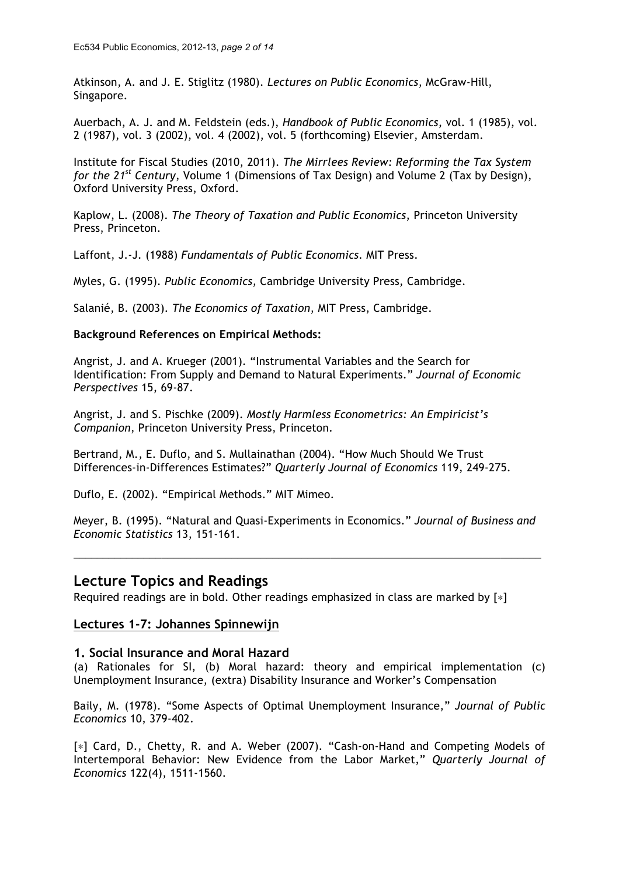Atkinson, A. and J. E. Stiglitz (1980). *Lectures on Public Economics*, McGraw-Hill, Singapore.

Auerbach, A. J. and M. Feldstein (eds.), *Handbook of Public Economics*, vol. 1 (1985), vol. 2 (1987), vol. 3 (2002), vol. 4 (2002), vol. 5 (forthcoming) Elsevier, Amsterdam.

Institute for Fiscal Studies (2010, 2011). *The Mirrlees Review: Reforming the Tax System for the 21st Century*, Volume 1 (Dimensions of Tax Design) and Volume 2 (Tax by Design), Oxford University Press, Oxford.

Kaplow, L. (2008). *The Theory of Taxation and Public Economics*, Princeton University Press, Princeton.

Laffont, J.-J. (1988) *Fundamentals of Public Economics*. MIT Press.

Myles, G. (1995). *Public Economics*, Cambridge University Press, Cambridge.

Salanié, B. (2003). *The Economics of Taxation*, MIT Press, Cambridge.

#### **Background References on Empirical Methods:**

Angrist, J. and A. Krueger (2001). "Instrumental Variables and the Search for Identification: From Supply and Demand to Natural Experiments." *Journal of Economic Perspectives* 15, 69-87.

Angrist, J. and S. Pischke (2009). *Mostly Harmless Econometrics: An Empiricist's Companion*, Princeton University Press, Princeton.

Bertrand, M., E. Duflo, and S. Mullainathan (2004). "How Much Should We Trust Differences-in-Differences Estimates?" *Quarterly Journal of Economics* 119, 249-275.

Duflo, E. (2002). "Empirical Methods." MIT Mimeo.

Meyer, B. (1995). "Natural and Quasi-Experiments in Economics." *Journal of Business and Economic Statistics* 13, 151-161.

\_\_\_\_\_\_\_\_\_\_\_\_\_\_\_\_\_\_\_\_\_\_\_\_\_\_\_\_\_\_\_\_\_\_\_\_\_\_\_\_\_\_\_\_\_\_\_\_\_\_\_\_\_\_\_\_\_\_\_\_\_\_\_\_\_\_\_\_\_\_\_\_\_\_\_\_\_\_\_\_

#### **Lecture Topics and Readings**

Required readings are in bold. Other readings emphasized in class are marked by [∗]

#### **Lectures 1-7: Johannes Spinnewijn**

#### **1. Social Insurance and Moral Hazard**

(a) Rationales for SI, (b) Moral hazard: theory and empirical implementation (c) Unemployment Insurance, (extra) Disability Insurance and Worker's Compensation

Baily, M. (1978). "Some Aspects of Optimal Unemployment Insurance," *Journal of Public Economics* 10, 379-402.

[∗] Card, D., Chetty, R. and A. Weber (2007). "Cash-on-Hand and Competing Models of Intertemporal Behavior: New Evidence from the Labor Market," *Quarterly Journal of Economics* 122(4), 1511-1560.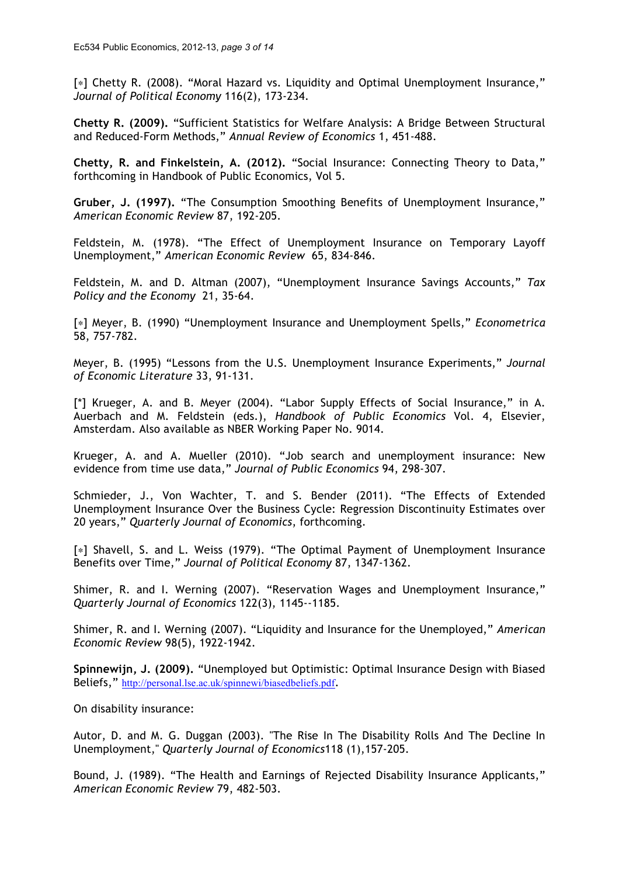[∗] Chetty R. (2008). "Moral Hazard vs. Liquidity and Optimal Unemployment Insurance," *Journal of Political Economy* 116(2), 173-234.

**Chetty R. (2009).** "Sufficient Statistics for Welfare Analysis: A Bridge Between Structural and Reduced-Form Methods," *Annual Review of Economics* 1, 451-488.

**Chetty, R. and Finkelstein, A. (2012).** "Social Insurance: Connecting Theory to Data," forthcoming in Handbook of Public Economics, Vol 5.

**Gruber, J. (1997).** "The Consumption Smoothing Benefits of Unemployment Insurance," *American Economic Review* 87, 192-205.

Feldstein, M. (1978). "The Effect of Unemployment Insurance on Temporary Layoff Unemployment," *American Economic Review* 65, 834-846.

Feldstein, M. and D. Altman (2007), "Unemployment Insurance Savings Accounts," *Tax Policy and the Economy* 21, 35-64.

[∗] Meyer, B. (1990) "Unemployment Insurance and Unemployment Spells," *Econometrica* 58, 757-782.

Meyer, B. (1995) "Lessons from the U.S. Unemployment Insurance Experiments," *Journal of Economic Literature* 33, 91-131.

[\*] Krueger, A. and B. Meyer (2004). "Labor Supply Effects of Social Insurance," in A. Auerbach and M. Feldstein (eds.), *Handbook of Public Economics* Vol. 4, Elsevier, Amsterdam. Also available as NBER Working Paper No. 9014.

Krueger, A. and A. Mueller (2010). "Job search and unemployment insurance: New evidence from time use data," *Journal of Public Economics* 94, 298-307.

Schmieder, J., Von Wachter, T. and S. Bender (2011). "The Effects of Extended Unemployment Insurance Over the Business Cycle: Regression Discontinuity Estimates over 20 years," *Quarterly Journal of Economics*, forthcoming.

[∗] Shavell, S. and L. Weiss (1979). "The Optimal Payment of Unemployment Insurance Benefits over Time," *Journal of Political Economy* 87, 1347-1362.

Shimer, R. and I. Werning (2007). "Reservation Wages and Unemployment Insurance," *Quarterly Journal of Economics* 122(3), 1145--1185.

Shimer, R. and I. Werning (2007). "Liquidity and Insurance for the Unemployed," *American Economic Review* 98(5), 1922-1942.

**Spinnewijn, J. (2009).** "Unemployed but Optimistic: Optimal Insurance Design with Biased Beliefs," http://personal.lse.ac.uk/spinnewi/biasedbeliefs.pdf.

On disability insurance:

Autor, D. and M. G. Duggan (2003). "The Rise In The Disability Rolls And The Decline In Unemployment," *Quarterly Journal of Economics*118 (1),157-205.

Bound, J. (1989). "The Health and Earnings of Rejected Disability Insurance Applicants," *American Economic Review* 79, 482-503.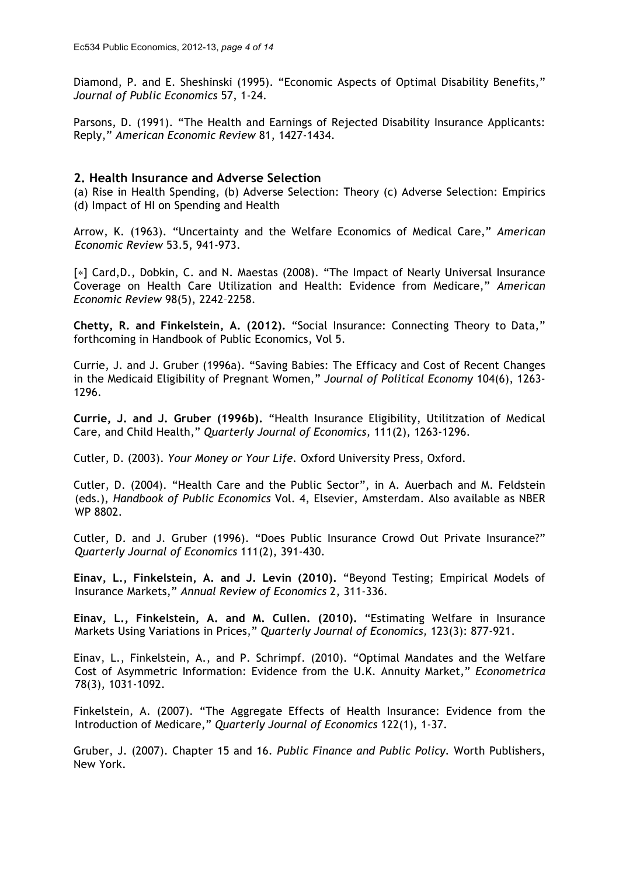Diamond, P. and E. Sheshinski (1995). "Economic Aspects of Optimal Disability Benefits," *Journal of Public Economics* 57, 1-24.

Parsons, D. (1991). "The Health and Earnings of Rejected Disability Insurance Applicants: Reply," *American Economic Review* 81, 1427-1434.

#### **2. Health Insurance and Adverse Selection**

(a) Rise in Health Spending, (b) Adverse Selection: Theory (c) Adverse Selection: Empirics (d) Impact of HI on Spending and Health

Arrow, K. (1963). "Uncertainty and the Welfare Economics of Medical Care," *American Economic Review* 53.5, 941-973.

[\*] Card, D., Dobkin, C. and N. Maestas (2008). "The Impact of Nearly Universal Insurance Coverage on Health Care Utilization and Health: Evidence from Medicare," *American Economic Review* 98(5), 2242–2258.

**Chetty, R. and Finkelstein, A. (2012).** "Social Insurance: Connecting Theory to Data," forthcoming in Handbook of Public Economics, Vol 5.

Currie, J. and J. Gruber (1996a). "Saving Babies: The Efficacy and Cost of Recent Changes in the Medicaid Eligibility of Pregnant Women," *Journal of Political Economy* 104(6), 1263- 1296.

**Currie, J. and J. Gruber (1996b).** "Health Insurance Eligibility, Utilitzation of Medical Care, and Child Health," *Quarterly Journal of Economics,* 111(2), 1263-1296.

Cutler, D. (2003). *Your Money or Your Life.* Oxford University Press, Oxford.

Cutler, D. (2004). "Health Care and the Public Sector", in A. Auerbach and M. Feldstein (eds.), *Handbook of Public Economics* Vol. 4, Elsevier, Amsterdam. Also available as NBER WP 8802.

Cutler, D. and J. Gruber (1996). "Does Public Insurance Crowd Out Private Insurance?" *Quarterly Journal of Economics* 111(2), 391-430.

**Einav, L., Finkelstein, A. and J. Levin (2010).** "Beyond Testing; Empirical Models of Insurance Markets," *Annual Review of Economics* 2, 311-336*.*

**Einav, L., Finkelstein, A. and M. Cullen. (2010).** "Estimating Welfare in Insurance Markets Using Variations in Prices," *Quarterly Journal of Economics,* 123(3): 877-921.

Einav, L., Finkelstein, A., and P. Schrimpf. (2010). "Optimal Mandates and the Welfare Cost of Asymmetric Information: Evidence from the U.K. Annuity Market," *Econometrica*  78(3), 1031-1092.

Finkelstein, A. (2007). "The Aggregate Effects of Health Insurance: Evidence from the Introduction of Medicare," *Quarterly Journal of Economics* 122(1), 1-37.

Gruber, J. (2007). Chapter 15 and 16. *Public Finance and Public Policy.* Worth Publishers, New York.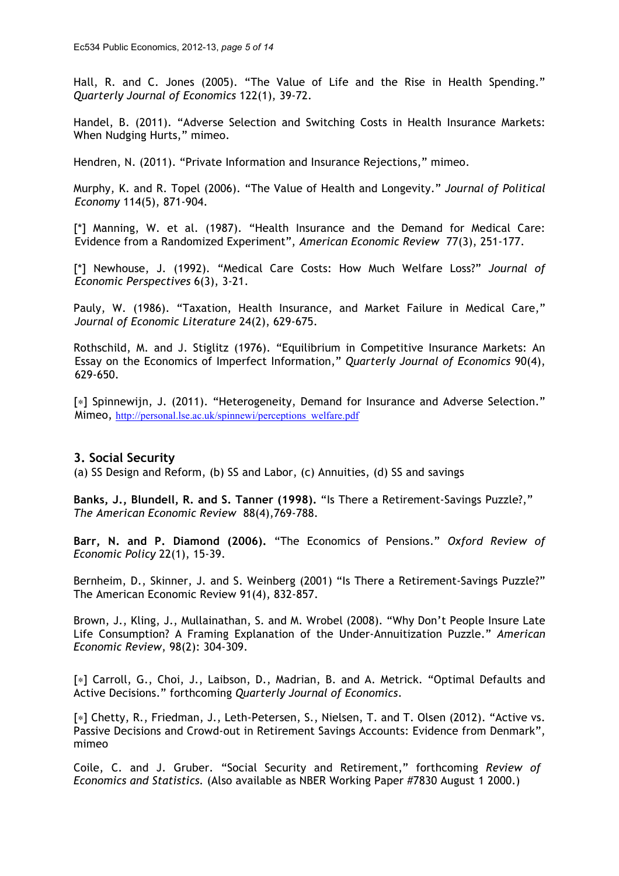Hall, R. and C. Jones (2005). "The Value of Life and the Rise in Health Spending." *Quarterly Journal of Economics* 122(1), 39-72.

Handel, B. (2011). "Adverse Selection and Switching Costs in Health Insurance Markets: When Nudging Hurts," mimeo.

Hendren, N. (2011). "Private Information and Insurance Rejections," mimeo.

Murphy, K. and R. Topel (2006). "The Value of Health and Longevity." *Journal of Political Economy* 114(5), 871-904.

[\*] Manning, W. et al. (1987). "Health Insurance and the Demand for Medical Care: Evidence from a Randomized Experiment", *American Economic Review* 77(3), 251-177.

[\*] Newhouse, J. (1992). "Medical Care Costs: How Much Welfare Loss?" *Journal of Economic Perspectives* 6(3), 3-21.

Pauly, W. (1986). "Taxation, Health Insurance, and Market Failure in Medical Care," *Journal of Economic Literature* 24(2), 629-675.

Rothschild, M. and J. Stiglitz (1976). "Equilibrium in Competitive Insurance Markets: An Essay on the Economics of Imperfect Information," *Quarterly Journal of Economics* 90(4), 629-650.

[\*] Spinnewijn, J. (2011). "Heterogeneity, Demand for Insurance and Adverse Selection." Mimeo, http://personal.lse.ac.uk/spinnewi/perceptions\_welfare.pdf

#### **3. Social Security**

(a) SS Design and Reform, (b) SS and Labor, (c) Annuities, (d) SS and savings

**Banks, J., Blundell, R. and S. Tanner (1998).** "Is There a Retirement-Savings Puzzle?," *The American Economic Review* 88(4),769-788.

**Barr, N. and P. Diamond (2006).** "The Economics of Pensions." *Oxford Review of Economic Policy* 22(1), 15-39.

Bernheim, D., Skinner, J. and S. Weinberg (2001) "Is There a Retirement-Savings Puzzle?" The American Economic Review 91(4), 832-857.

Brown, J., Kling, J., Mullainathan, S. and M. Wrobel (2008). "Why Don't People Insure Late Life Consumption? A Framing Explanation of the Under-Annuitization Puzzle." *American Economic Review*, 98(2): 304-309.

[∗] Carroll, G., Choi, J., Laibson, D., Madrian, B. and A. Metrick. "Optimal Defaults and Active Decisions." forthcoming *Quarterly Journal of Economics*.

[∗] Chetty, R., Friedman, J., Leth-Petersen, S., Nielsen, T. and T. Olsen (2012). "Active vs. Passive Decisions and Crowd-out in Retirement Savings Accounts: Evidence from Denmark", mimeo

Coile, C. and J. Gruber. "Social Security and Retirement," forthcoming *Review of Economics and Statistics.* (Also available as NBER Working Paper #7830 August 1 2000.)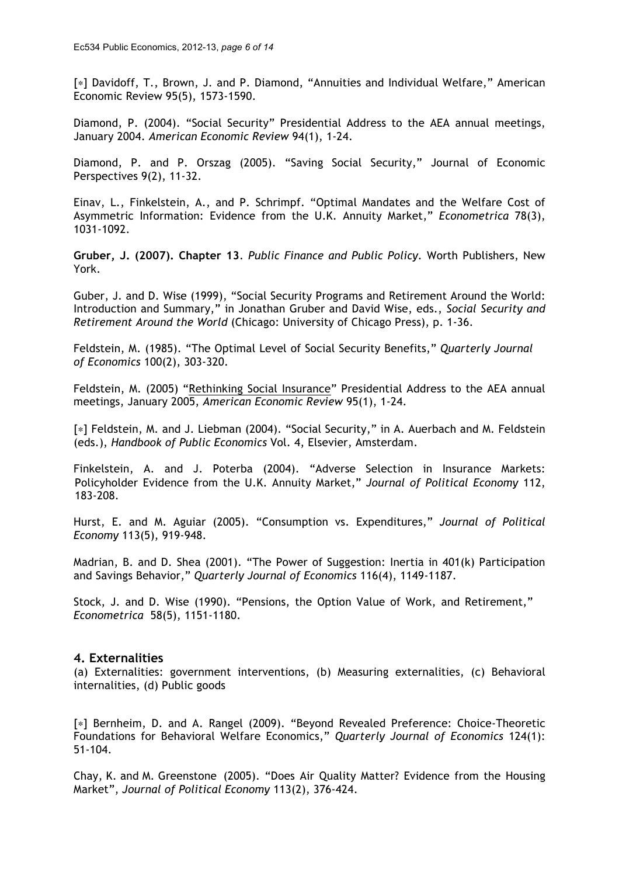[∗] Davidoff, T., Brown, J. and P. Diamond, "Annuities and Individual Welfare," American Economic Review 95(5), 1573-1590.

Diamond, P. (2004). "Social Security" Presidential Address to the AEA annual meetings, January 2004. *American Economic Review* 94(1), 1-24.

Diamond, P. and P. Orszag (2005). "Saving Social Security," Journal of Economic Perspectives 9(2), 11-32.

Einav, L., Finkelstein, A., and P. Schrimpf. "Optimal Mandates and the Welfare Cost of Asymmetric Information: Evidence from the U.K. Annuity Market," *Econometrica* 78(3), 1031-1092.

**Gruber, J. (2007). Chapter 13**. *Public Finance and Public Policy.* Worth Publishers, New York.

Guber, J. and D. Wise (1999), "Social Security Programs and Retirement Around the World: Introduction and Summary," in Jonathan Gruber and David Wise, eds., *Social Security and Retirement Around the World* (Chicago: University of Chicago Press), p. 1-36.

Feldstein, M. (1985). "The Optimal Level of Social Security Benefits," *Quarterly Journal of Economics* 100(2), 303-320.

Feldstein, M. (2005) "Rethinking Social Insurance" Presidential Address to the AEA annual meetings, January 2005, *American Economic Review* 95(1), 1-24.

[∗] Feldstein, M. and J. Liebman (2004). "Social Security," in A. Auerbach and M. Feldstein (eds.), *Handbook of Public Economics* Vol. 4, Elsevier, Amsterdam.

Finkelstein, A. and J. Poterba (2004). "Adverse Selection in Insurance Markets: Policyholder Evidence from the U.K. Annuity Market," *Journal of Political Economy* 112, 183-208.

Hurst, E. and M. Aguiar (2005). "Consumption vs. Expenditures," *Journal of Political Economy* 113(5), 919-948.

Madrian, B. and D. Shea (2001). "The Power of Suggestion: Inertia in 401(k) Participation and Savings Behavior," *Quarterly Journal of Economics* 116(4), 1149-1187.

Stock, J. and D. Wise (1990). "Pensions, the Option Value of Work, and Retirement," *Econometrica* 58(5), 1151-1180.

## **4. Externalities**

(a) Externalities: government interventions, (b) Measuring externalities, (c) Behavioral internalities, (d) Public goods

[∗] Bernheim, D. and A. Rangel (2009). "Beyond Revealed Preference: Choice-Theoretic Foundations for Behavioral Welfare Economics," *Quarterly Journal of Economics* 124(1): 51-104.

Chay, K. and M. Greenstone (2005). "Does Air Quality Matter? Evidence from the Housing Market", *Journal of Political Economy* 113(2), 376-424.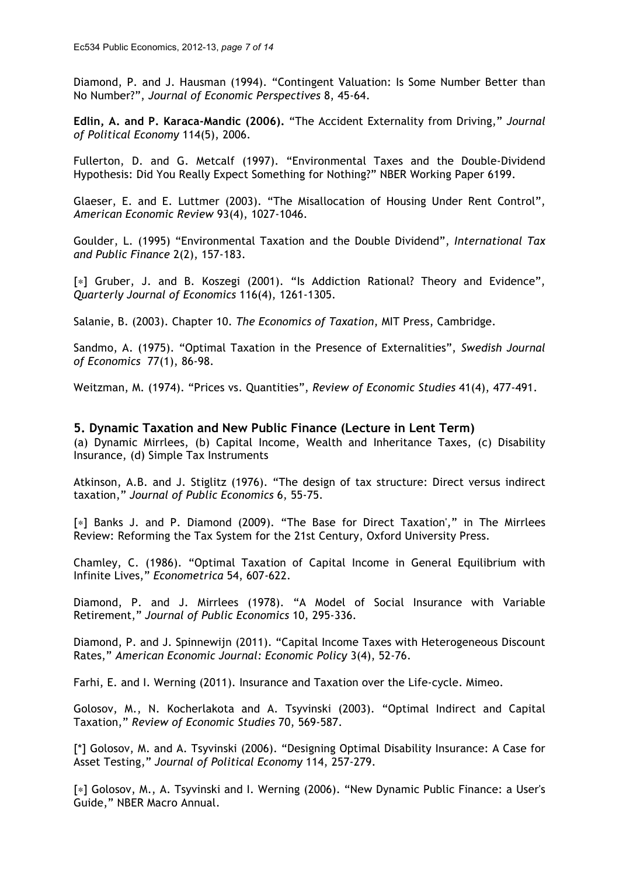Diamond, P. and J. Hausman (1994). "Contingent Valuation: Is Some Number Better than No Number?", *Journal of Economic Perspectives* 8, 45-64.

**Edlin, A. and P. Karaca-Mandic (2006).** "The Accident Externality from Driving," *Journal of Political Economy* 114(5), 2006.

Fullerton, D. and G. Metcalf (1997). "Environmental Taxes and the Double-Dividend Hypothesis: Did You Really Expect Something for Nothing?" NBER Working Paper 6199.

Glaeser, E. and E. Luttmer (2003). "The Misallocation of Housing Under Rent Control", *American Economic Review* 93(4), 1027-1046.

Goulder, L. (1995) "Environmental Taxation and the Double Dividend", *International Tax and Public Finance* 2(2), 157-183.

[\*] Gruber, J. and B. Koszegi (2001). "Is Addiction Rational? Theory and Evidence", *Quarterly Journal of Economics* 116(4), 1261-1305.

Salanie, B. (2003). Chapter 10. *The Economics of Taxation*, MIT Press, Cambridge.

Sandmo, A. (1975). "Optimal Taxation in the Presence of Externalities", *Swedish Journal of Economics* 77(1), 86-98.

Weitzman, M. (1974). "Prices vs. Quantities", *Review of Economic Studies* 41(4), 477-491.

#### **5. Dynamic Taxation and New Public Finance (Lecture in Lent Term)**

(a) Dynamic Mirrlees, (b) Capital Income, Wealth and Inheritance Taxes, (c) Disability Insurance, (d) Simple Tax Instruments

Atkinson, A.B. and J. Stiglitz (1976). "The design of tax structure: Direct versus indirect taxation," *Journal of Public Economics* 6, 55-75.

[∗] Banks J. and P. Diamond (2009). "The Base for Direct Taxation'," in The Mirrlees Review: Reforming the Tax System for the 21st Century, Oxford University Press.

Chamley, C. (1986). "Optimal Taxation of Capital Income in General Equilibrium with Infinite Lives," *Econometrica* 54, 607-622.

Diamond, P. and J. Mirrlees (1978). "A Model of Social Insurance with Variable Retirement," *Journal of Public Economics* 10, 295-336.

Diamond, P. and J. Spinnewijn (2011). "Capital Income Taxes with Heterogeneous Discount Rates," *American Economic Journal: Economic Policy* 3(4), 52-76.

Farhi, E. and I. Werning (2011). Insurance and Taxation over the Life-cycle. Mimeo.

Golosov, M., N. Kocherlakota and A. Tsyvinski (2003). "Optimal Indirect and Capital Taxation," *Review of Economic Studies* 70, 569-587.

[\*] Golosov, M. and A. Tsyvinski (2006). "Designing Optimal Disability Insurance: A Case for Asset Testing," *Journal of Political Economy* 114, 257-279.

[∗] Golosov, M., A. Tsyvinski and I. Werning (2006). "New Dynamic Public Finance: a User's Guide," NBER Macro Annual.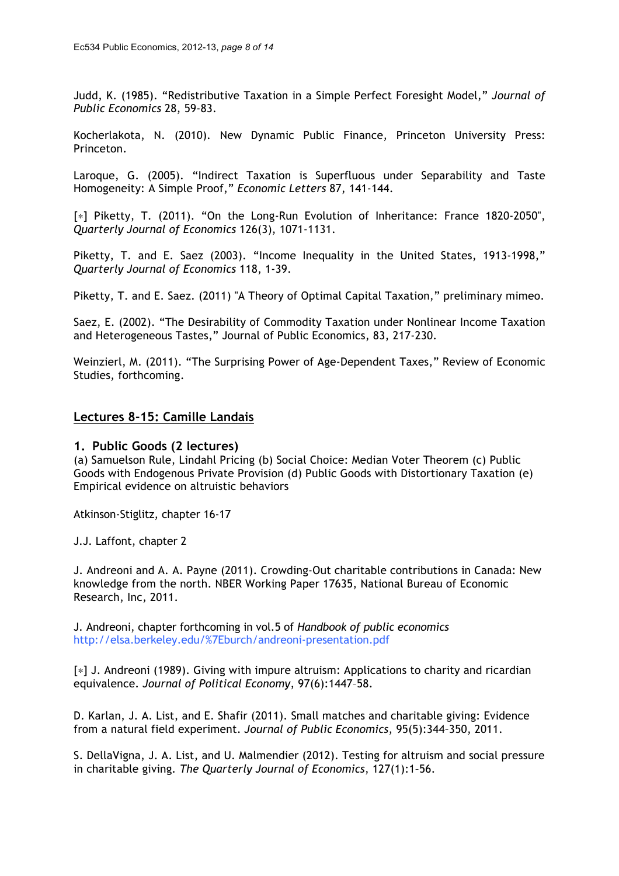Judd, K. (1985). "Redistributive Taxation in a Simple Perfect Foresight Model," *Journal of Public Economics* 28, 59-83.

Kocherlakota, N. (2010). New Dynamic Public Finance, Princeton University Press: Princeton.

Laroque, G. (2005). "Indirect Taxation is Superfluous under Separability and Taste Homogeneity: A Simple Proof," *Economic Letters* 87, 141-144.

[\*] Piketty, T. (2011). "On the Long-Run Evolution of Inheritance: France 1820-2050", *Quarterly Journal of Economics* 126(3), 1071-1131.

Piketty, T. and E. Saez (2003). "Income Inequality in the United States, 1913-1998," *Quarterly Journal of Economics* 118, 1-39.

Piketty, T. and E. Saez. (2011) "A Theory of Optimal Capital Taxation," preliminary mimeo.

Saez, E. (2002). "The Desirability of Commodity Taxation under Nonlinear Income Taxation and Heterogeneous Tastes," Journal of Public Economics, 83, 217-230.

Weinzierl, M. (2011). "The Surprising Power of Age-Dependent Taxes," Review of Economic Studies, forthcoming.

#### **Lectures 8-15: Camille Landais**

#### **1. Public Goods (2 lectures)**

(a) Samuelson Rule, Lindahl Pricing (b) Social Choice: Median Voter Theorem (c) Public Goods with Endogenous Private Provision (d) Public Goods with Distortionary Taxation (e) Empirical evidence on altruistic behaviors

Atkinson-Stiglitz, chapter 16-17

J.J. Laffont, chapter 2

J. Andreoni and A. A. Payne (2011). Crowding-Out charitable contributions in Canada: New knowledge from the north. NBER Working Paper 17635, National Bureau of Economic Research, Inc, 2011.

J. Andreoni, chapter forthcoming in vol.5 of *Handbook of public economics* http://elsa.berkeley.edu/%7Eburch/andreoni-presentation.pdf

[∗] J. Andreoni (1989). Giving with impure altruism: Applications to charity and ricardian equivalence. *Journal of Political Economy*, 97(6):1447–58.

D. Karlan, J. A. List, and E. Shafir (2011). Small matches and charitable giving: Evidence from a natural field experiment. *Journal of Public Economics*, 95(5):344–350, 2011.

S. DellaVigna, J. A. List, and U. Malmendier (2012). Testing for altruism and social pressure in charitable giving*. The Quarterly Journal of Economics*, 127(1):1–56.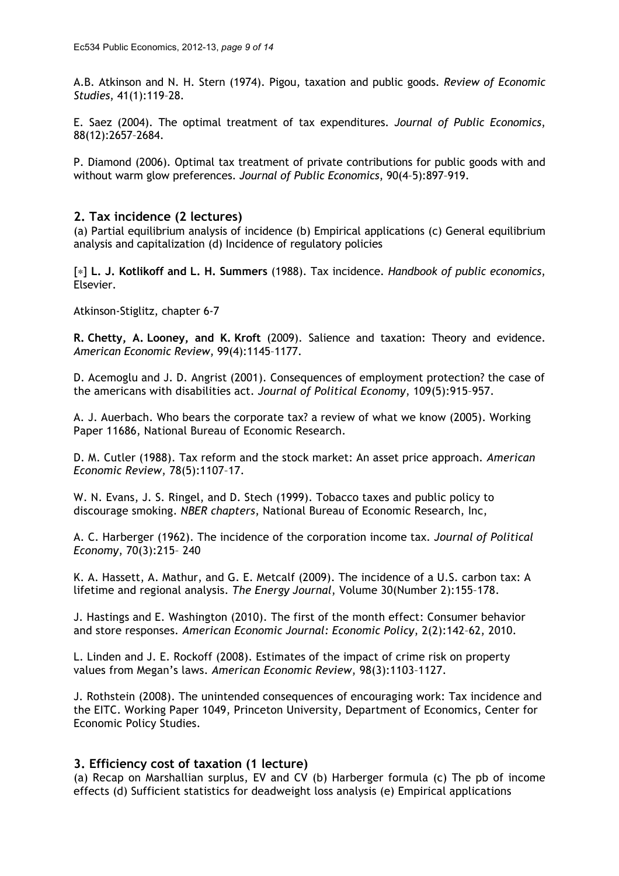A.B. Atkinson and N. H. Stern (1974). Pigou, taxation and public goods. *Review of Economic Studies*, 41(1):119–28.

E. Saez (2004). The optimal treatment of tax expenditures. *Journal of Public Economics*, 88(12):2657–2684.

P. Diamond (2006). Optimal tax treatment of private contributions for public goods with and without warm glow preferences. *Journal of Public Economics*, 90(4–5):897–919.

#### **2. Tax incidence (2 lectures)**

(a) Partial equilibrium analysis of incidence (b) Empirical applications (c) General equilibrium analysis and capitalization (d) Incidence of regulatory policies

[∗] **L. J. Kotlikoff and L. H. Summers** (1988). Tax incidence. *Handbook of public economics*, Elsevier.

Atkinson-Stiglitz, chapter 6-7

**R. Chetty, A. Looney, and K. Kroft** (2009). Salience and taxation: Theory and evidence. *American Economic Review*, 99(4):1145–1177.

D. Acemoglu and J. D. Angrist (2001). Consequences of employment protection? the case of the americans with disabilities act. *Journal of Political Economy*, 109(5):915–957.

A. J. Auerbach. Who bears the corporate tax? a review of what we know (2005). Working Paper 11686, National Bureau of Economic Research.

D. M. Cutler (1988). Tax reform and the stock market: An asset price approach*. American Economic Review*, 78(5):1107–17.

W. N. Evans, J. S. Ringel, and D. Stech (1999). Tobacco taxes and public policy to discourage smoking. *NBER chapters*, National Bureau of Economic Research, Inc,

A. C. Harberger (1962). The incidence of the corporation income tax*. Journal of Political Economy*, 70(3):215– 240

K. A. Hassett, A. Mathur, and G. E. Metcalf (2009). The incidence of a U.S. carbon tax: A lifetime and regional analysis. *The Energy Journal*, Volume 30(Number 2):155–178.

J. Hastings and E. Washington (2010). The first of the month effect: Consumer behavior and store responses. *American Economic Journal: Economic Policy*, 2(2):142–62, 2010.

L. Linden and J. E. Rockoff (2008). Estimates of the impact of crime risk on property values from Megan's laws. *American Economic Review*, 98(3):1103–1127.

J. Rothstein (2008). The unintended consequences of encouraging work: Tax incidence and the EITC. Working Paper 1049, Princeton University, Department of Economics, Center for Economic Policy Studies.

#### **3. Efficiency cost of taxation (1 lecture)**

(a) Recap on Marshallian surplus, EV and CV (b) Harberger formula (c) The pb of income effects (d) Sufficient statistics for deadweight loss analysis (e) Empirical applications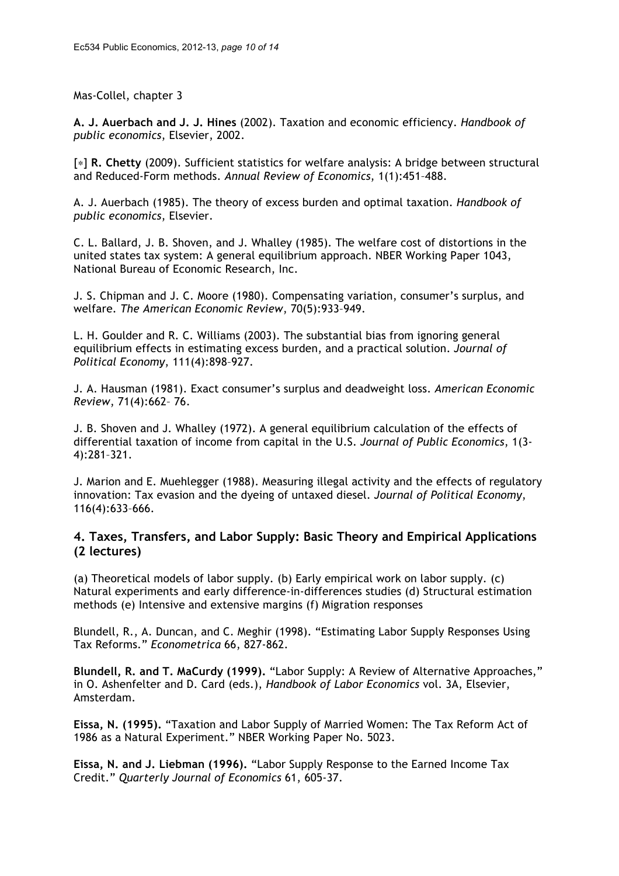Mas-Collel, chapter 3

**A. J. Auerbach and J. J. Hines** (2002). Taxation and economic efficiency. *Handbook of public economics*, Elsevier, 2002.

[∗] **R. Chetty** (2009). Sufficient statistics for welfare analysis: A bridge between structural and Reduced-Form methods. *Annual Review of Economics*, 1(1):451–488.

A. J. Auerbach (1985). The theory of excess burden and optimal taxation. *Handbook of public economics*, Elsevier.

C. L. Ballard, J. B. Shoven, and J. Whalley (1985). The welfare cost of distortions in the united states tax system: A general equilibrium approach. NBER Working Paper 1043, National Bureau of Economic Research, Inc.

J. S. Chipman and J. C. Moore (1980). Compensating variation, consumer's surplus, and welfare*. The American Economic Review*, 70(5):933–949.

L. H. Goulder and R. C. Williams (2003). The substantial bias from ignoring general equilibrium effects in estimating excess burden, and a practical solution. *Journal of Political Economy*, 111(4):898–927.

J. A. Hausman (1981). Exact consumer's surplus and deadweight loss. *American Economic Review*, 71(4):662– 76.

J. B. Shoven and J. Whalley (1972). A general equilibrium calculation of the effects of differential taxation of income from capital in the U.S. *Journal of Public Economics*, 1(3- 4):281–321.

J. Marion and E. Muehlegger (1988). Measuring illegal activity and the effects of regulatory innovation: Tax evasion and the dyeing of untaxed diesel. *Journal of Political Economy*, 116(4):633–666.

## **4. Taxes, Transfers, and Labor Supply: Basic Theory and Empirical Applications (2 lectures)**

(a) Theoretical models of labor supply. (b) Early empirical work on labor supply. (c) Natural experiments and early difference-in-differences studies (d) Structural estimation methods (e) Intensive and extensive margins (f) Migration responses

Blundell, R., A. Duncan, and C. Meghir (1998). "Estimating Labor Supply Responses Using Tax Reforms." *Econometrica* 66, 827-862.

**Blundell, R. and T. MaCurdy (1999).** "Labor Supply: A Review of Alternative Approaches," in O. Ashenfelter and D. Card (eds.), *Handbook of Labor Economics* vol. 3A, Elsevier, Amsterdam.

**Eissa, N. (1995).** "Taxation and Labor Supply of Married Women: The Tax Reform Act of 1986 as a Natural Experiment." NBER Working Paper No. 5023.

**Eissa, N. and J. Liebman (1996).** "Labor Supply Response to the Earned Income Tax Credit." *Quarterly Journal of Economics* 61, 605-37.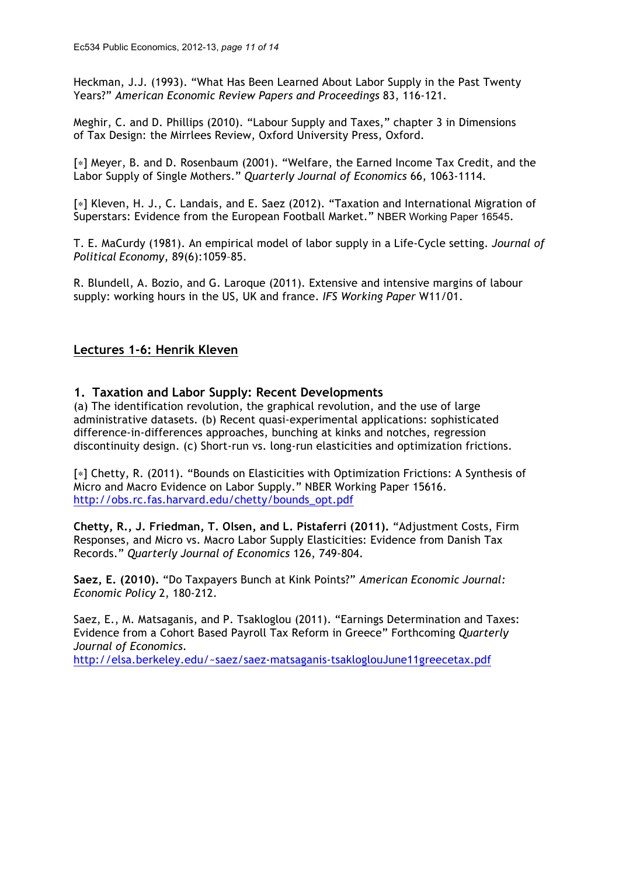Heckman, J.J. (1993). "What Has Been Learned About Labor Supply in the Past Twenty Years?" *American Economic Review Papers and Proceedings* 83, 116-121.

Meghir, C. and D. Phillips (2010). "Labour Supply and Taxes," chapter 3 in Dimensions of Tax Design: the Mirrlees Review, Oxford University Press, Oxford.

[∗] Meyer, B. and D. Rosenbaum (2001). "Welfare, the Earned Income Tax Credit, and the Labor Supply of Single Mothers." *Quarterly Journal of Economics* 66, 1063-1114.

[∗] Kleven, H. J., C. Landais, and E. Saez (2012). "Taxation and International Migration of Superstars: Evidence from the European Football Market." NBER Working Paper 16545.

T. E. MaCurdy (1981). An empirical model of labor supply in a Life-Cycle setting. *Journal of Political Economy*, 89(6):1059–85.

R. Blundell, A. Bozio, and G. Laroque (2011). Extensive and intensive margins of labour supply: working hours in the US, UK and france. *IFS Working Paper* W11/01.

## **Lectures 1-6: Henrik Kleven**

#### **1. Taxation and Labor Supply: Recent Developments**

(a) The identification revolution, the graphical revolution, and the use of large administrative datasets. (b) Recent quasi-experimental applications: sophisticated difference-in-differences approaches, bunching at kinks and notches, regression discontinuity design. (c) Short-run vs. long-run elasticities and optimization frictions.

[∗] Chetty, R. (2011). "Bounds on Elasticities with Optimization Frictions: A Synthesis of Micro and Macro Evidence on Labor Supply." NBER Working Paper 15616. http://obs.rc.fas.harvard.edu/chetty/bounds\_opt.pdf

**Chetty, R., J. Friedman, T. Olsen, and L. Pistaferri (2011).** "Adjustment Costs, Firm Responses, and Micro vs. Macro Labor Supply Elasticities: Evidence from Danish Tax Records." *Quarterly Journal of Economics* 126, 749-804.

**Saez, E. (2010).** "Do Taxpayers Bunch at Kink Points?" *American Economic Journal: Economic Policy* 2, 180-212.

Saez, E., M. Matsaganis, and P. Tsakloglou (2011). "Earnings Determination and Taxes: Evidence from a Cohort Based Payroll Tax Reform in Greece" Forthcoming *Quarterly Journal of Economics*. http://elsa.berkeley.edu/~saez/saez-matsaganis-tsakloglouJune11greecetax.pdf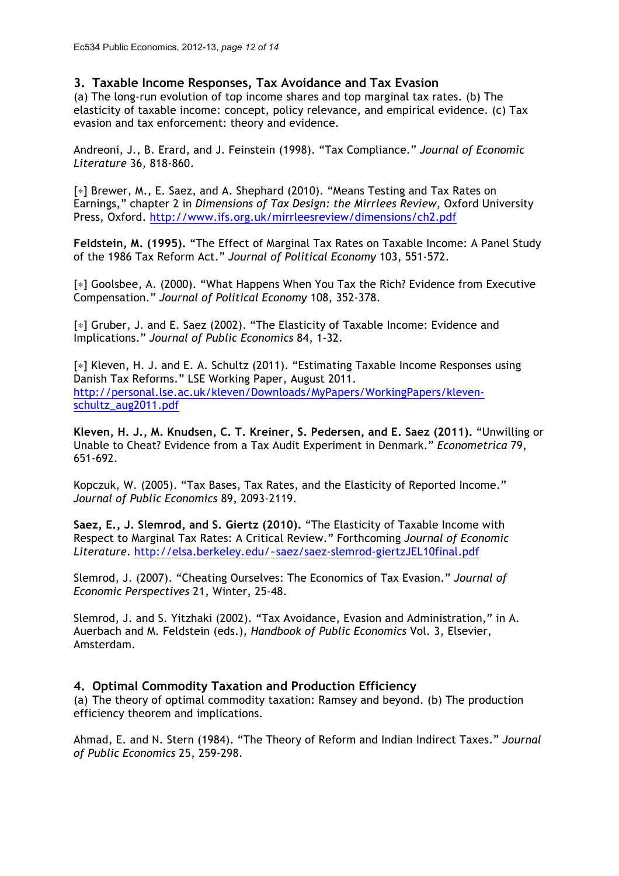## **3. Taxable Income Responses, Tax Avoidance and Tax Evasion**

(a) The long-run evolution of top income shares and top marginal tax rates. (b) The elasticity of taxable income: concept, policy relevance, and empirical evidence. (c) Tax evasion and tax enforcement: theory and evidence.

Andreoni, J., B. Erard, and J. Feinstein (1998). "Tax Compliance." *Journal of Economic Literature* 36, 818-860.

[∗] Brewer, M., E. Saez, and A. Shephard (2010). "Means Testing and Tax Rates on Earnings," chapter 2 in *Dimensions of Tax Design: the Mirrlees Review*, Oxford University Press, Oxford. http://www.ifs.org.uk/mirrleesreview/dimensions/ch2.pdf

**Feldstein, M. (1995).** "The Effect of Marginal Tax Rates on Taxable Income: A Panel Study of the 1986 Tax Reform Act." *Journal of Political Economy* 103, 551-572.

[∗] Goolsbee, A. (2000). "What Happens When You Tax the Rich? Evidence from Executive Compensation." *Journal of Political Economy* 108, 352-378.

[∗] Gruber, J. and E. Saez (2002). "The Elasticity of Taxable Income: Evidence and Implications." *Journal of Public Economics* 84, 1-32.

[∗] Kleven, H. J. and E. A. Schultz (2011). "Estimating Taxable Income Responses using Danish Tax Reforms." LSE Working Paper, August 2011. http://personal.lse.ac.uk/kleven/Downloads/MyPapers/WorkingPapers/klevenschultz\_aug2011.pdf

**Kleven, H. J., M. Knudsen, C. T. Kreiner, S. Pedersen, and E. Saez (2011).** "Unwilling or Unable to Cheat? Evidence from a Tax Audit Experiment in Denmark." *Econometrica* 79, 651-692.

Kopczuk, W. (2005). "Tax Bases, Tax Rates, and the Elasticity of Reported Income." *Journal of Public Economics* 89, 2093-2119.

**Saez, E., J. Slemrod, and S. Giertz (2010).** "The Elasticity of Taxable Income with Respect to Marginal Tax Rates: A Critical Review." Forthcoming *Journal of Economic Literature*. http://elsa.berkeley.edu/~saez/saez-slemrod-giertzJEL10final.pdf

Slemrod, J. (2007). "Cheating Ourselves: The Economics of Tax Evasion." *Journal of Economic Perspectives* 21, Winter, 25-48.

Slemrod, J. and S. Yitzhaki (2002). "Tax Avoidance, Evasion and Administration," in A. Auerbach and M. Feldstein (eds.), *Handbook of Public Economics* Vol. 3, Elsevier, Amsterdam.

#### **4. Optimal Commodity Taxation and Production Efficiency**

(a) The theory of optimal commodity taxation: Ramsey and beyond. (b) The production efficiency theorem and implications.

Ahmad, E. and N. Stern (1984). "The Theory of Reform and Indian Indirect Taxes." *Journal of Public Economics* 25, 259-298.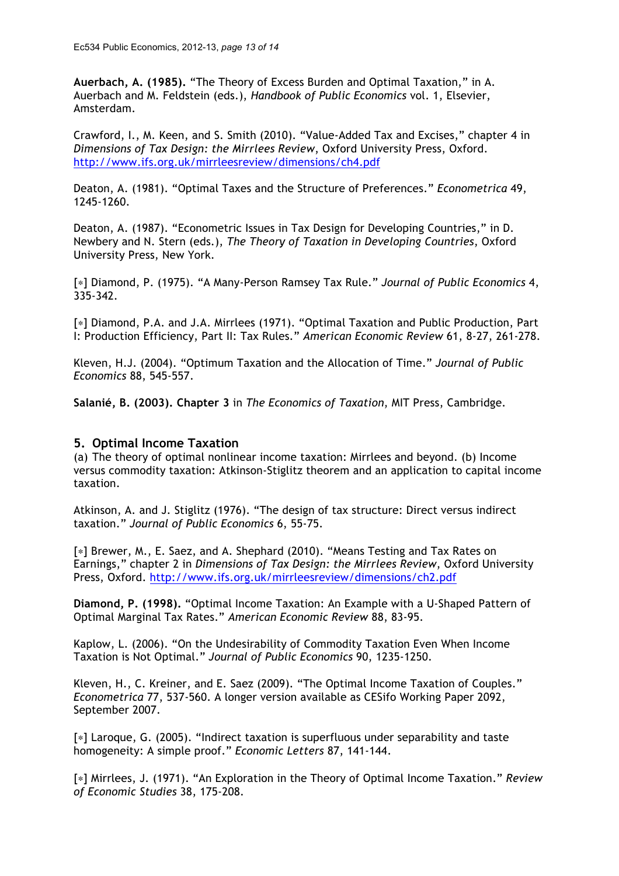**Auerbach, A. (1985).** "The Theory of Excess Burden and Optimal Taxation," in A. Auerbach and M. Feldstein (eds.), *Handbook of Public Economics* vol. 1, Elsevier, Amsterdam.

Crawford, I., M. Keen, and S. Smith (2010). "Value-Added Tax and Excises," chapter 4 in *Dimensions of Tax Design: the Mirrlees Review*, Oxford University Press, Oxford. http://www.ifs.org.uk/mirrleesreview/dimensions/ch4.pdf

Deaton, A. (1981). "Optimal Taxes and the Structure of Preferences." *Econometrica* 49, 1245-1260.

Deaton, A. (1987). "Econometric Issues in Tax Design for Developing Countries," in D. Newbery and N. Stern (eds.), *The Theory of Taxation in Developing Countries*, Oxford University Press, New York.

[∗] Diamond, P. (1975). "A Many-Person Ramsey Tax Rule." *Journal of Public Economics* 4, 335-342.

[∗] Diamond, P.A. and J.A. Mirrlees (1971). "Optimal Taxation and Public Production, Part I: Production Efficiency, Part II: Tax Rules." *American Economic Review* 61, 8-27, 261-278.

Kleven, H.J. (2004). "Optimum Taxation and the Allocation of Time." *Journal of Public Economics* 88, 545-557.

**Salanié, B. (2003). Chapter 3** in *The Economics of Taxation*, MIT Press, Cambridge.

#### **5. Optimal Income Taxation**

(a) The theory of optimal nonlinear income taxation: Mirrlees and beyond. (b) Income versus commodity taxation: Atkinson-Stiglitz theorem and an application to capital income taxation.

Atkinson, A. and J. Stiglitz (1976). "The design of tax structure: Direct versus indirect taxation." *Journal of Public Economics* 6, 55-75.

[∗] Brewer, M., E. Saez, and A. Shephard (2010). "Means Testing and Tax Rates on Earnings," chapter 2 in *Dimensions of Tax Design: the Mirrlees Review*, Oxford University Press, Oxford. http://www.ifs.org.uk/mirrleesreview/dimensions/ch2.pdf

**Diamond, P. (1998).** "Optimal Income Taxation: An Example with a U-Shaped Pattern of Optimal Marginal Tax Rates." *American Economic Review* 88, 83-95.

Kaplow, L. (2006). "On the Undesirability of Commodity Taxation Even When Income Taxation is Not Optimal." *Journal of Public Economics* 90, 1235-1250.

Kleven, H., C. Kreiner, and E. Saez (2009). "The Optimal Income Taxation of Couples." *Econometrica* 77, 537-560. A longer version available as CESifo Working Paper 2092, September 2007.

[∗] Laroque, G. (2005). "Indirect taxation is superfluous under separability and taste homogeneity: A simple proof." *Economic Letters* 87, 141-144.

[∗] Mirrlees, J. (1971). "An Exploration in the Theory of Optimal Income Taxation." *Review of Economic Studies* 38, 175-208.